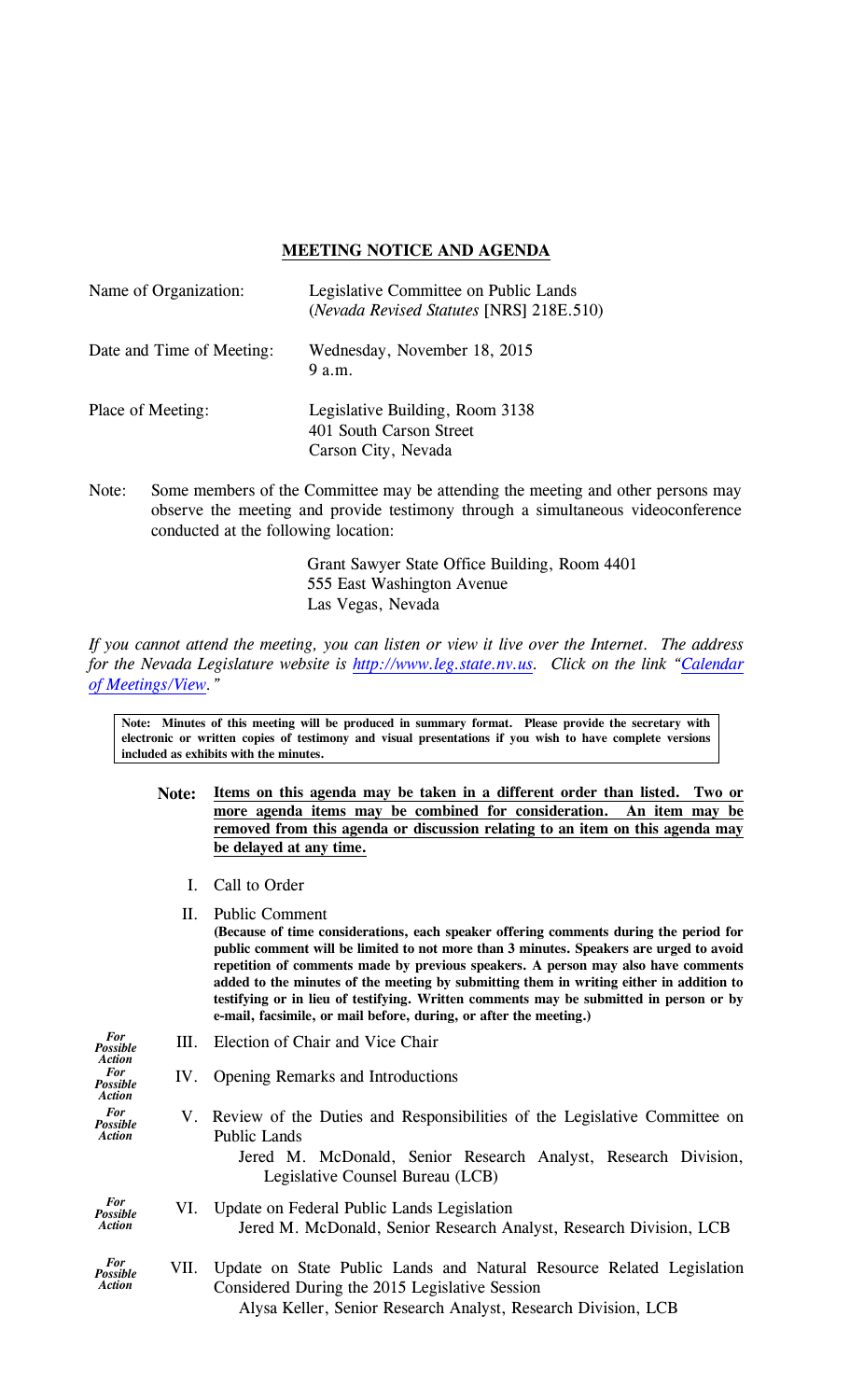## **MEETING NOTICE AND AGENDA**

| Name of Organization:     | Legislative Committee on Public Lands<br>(Nevada Revised Statutes [NRS] 218E.510) |  |
|---------------------------|-----------------------------------------------------------------------------------|--|
| Date and Time of Meeting: | Wednesday, November 18, 2015<br>9 a.m.                                            |  |
| Place of Meeting:         | Legislative Building, Room 3138<br>401 South Carson Street<br>Carson City, Nevada |  |
| $N$ $\alpha$ ta $\cdot$   | Some members of the Committee may be attending the meeting and                    |  |

Note: Some members of the Committee may be attending the meeting and other persons may observe the meeting and provide testimony through a simultaneous videoconference conducted at the following location:

> Grant Sawyer State Office Building, Room 4401 555 East Washington Avenue Las Vegas, Nevada

*If you cannot attend the meeting, you can listen or view it live over the Internet. The address for the Nevada Legislature website is [http://www.leg.state.nv.us.](http://www.leg.state.nv.us/) Click on the link ["Calendar](http://www.leg.state.nv.us/App/Calendar/A/)  [of Meetings/View.](http://www.leg.state.nv.us/App/Calendar/A/)"*

**Note: Minutes of this meeting will be produced in summary format. Please provide the secretary with electronic or written copies of testimony and visual presentations if you wish to have complete versions included as exhibits with the minutes.**

- **Note: Items on this agenda may be taken in a different order than listed. Two or more agenda items may be combined for consideration. An item may be removed from this agenda or discussion relating to an item on this agenda may be delayed at any time.**
	- I. Call to Order

II. Public Comment

- **(Because of time considerations, each speaker offering comments during the period for public comment will be limited to not more than 3 minutes. Speakers are urged to avoid repetition of comments made by previous speakers. A person may also have comments added to the minutes of the meeting by submitting them in writing either in addition to testifying or in lieu of testifying. Written comments may be submitted in person or by e-mail, facsimile, or mail before, during, or after the meeting.)** *For Possible Action* III. Election of Chair and Vice Chair *For Possible Action* IV. Opening Remarks and Introductions *For Possible Action* V. Review of the Duties and Responsibilities of the Legislative Committee on Public Lands Jered M. McDonald, Senior Research Analyst, Research Division, Legislative Counsel Bureau (LCB) *For Possible Action* VI. Update on Federal Public Lands Legislation Jered M. McDonald, Senior Research Analyst, Research Division, LCB *For Possible Action* VII. Update on State Public Lands and Natural Resource Related Legislation
	- Considered During the 2015 Legislative Session Alysa Keller, Senior Research Analyst, Research Division, LCB